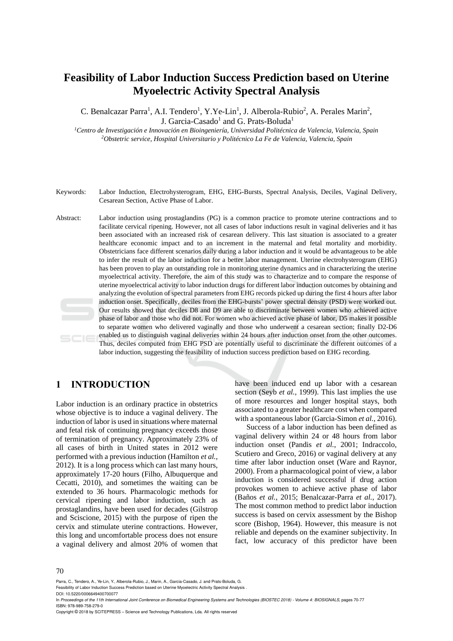# **Feasibility of Labor Induction Success Prediction based on Uterine Myoelectric Activity Spectral Analysis**

C. Benalcazar Parra<sup>1</sup>, A.I. Tendero<sup>1</sup>, Y.Ye-Lin<sup>1</sup>, J. Alberola-Rubio<sup>2</sup>, A. Perales Marin<sup>2</sup>, J. Garcia-Casado<sup>1</sup> and G. Prats-Boluda<sup>1</sup>

*<sup>1</sup>Centro de Investigación e Innovación en Bioingeniería, Universidad Politécnica de Valencia, Valencia, Spain <sup>2</sup>Obstetric service, Hospital Universitario y Politécnico La Fe de Valencia, Valencia, Spain*

- Keywords: Labor Induction, Electrohysterogram, EHG, EHG-Bursts, Spectral Analysis, Deciles, Vaginal Delivery, Cesarean Section, Active Phase of Labor.
- Abstract: Labor induction using prostaglandins (PG) is a common practice to promote uterine contractions and to facilitate cervical ripening. However, not all cases of labor inductions result in vaginal deliveries and it has been associated with an increased risk of cesarean delivery. This last situation is associated to a greater healthcare economic impact and to an increment in the maternal and fetal mortality and morbidity. Obstetricians face different scenarios daily during a labor induction and it would be advantageous to be able to infer the result of the labor induction for a better labor management. Uterine electrohysterogram (EHG) has been proven to play an outstanding role in monitoring uterine dynamics and in characterizing the uterine myoelectrical activity. Therefore, the aim of this study was to characterize and to compare the response of uterine myoelectrical activity to labor induction drugs for different labor induction outcomes by obtaining and analyzing the evolution of spectral parameters from EHG records picked up during the first 4 hours after labor induction onset. Specifically, deciles from the EHG-bursts' power spectral density (PSD) were worked out. Our results showed that deciles D8 and D9 are able to discriminate between women who achieved active phase of labor and those who did not. For women who achieved active phase of labor, D5 makes it possible to separate women who delivered vaginally and those who underwent a cesarean section; finally D2-D6 enabled us to distinguish vaginal deliveries within 24 hours after induction onset from the other outcomes. Thus, deciles computed from EHG PSD are potentially useful to discriminate the different outcomes of a labor induction, suggesting the feasibility of induction success prediction based on EHG recording.

## **1 INTRODUCTION**

Labor induction is an ordinary practice in obstetrics whose objective is to induce a vaginal delivery. The induction of labor is used in situations where maternal and fetal risk of continuing pregnancy exceeds those of termination of pregnancy. Approximately 23% of all cases of birth in United states in 2012 were performed with a previous induction (Hamilton *et al.*, 2012). It is a long process which can last many hours, approximately 17-20 hours (Filho, Albuquerque and Cecatti, 2010), and sometimes the waiting can be extended to 36 hours. Pharmacologic methods for cervical ripening and labor induction, such as prostaglandins, have been used for decades (Gilstrop and Sciscione, 2015) with the purpose of ripen the cervix and stimulate uterine contractions. However, this long and uncomfortable process does not ensure a vaginal delivery and almost 20% of women that

have been induced end up labor with a cesarean section (Seyb *et al.*, 1999). This last implies the use of more resources and longer hospital stays, both associated to a greater healthcare cost when compared with a spontaneous labor (Garcia-Simon *et al.*, 2016).

Success of a labor induction has been defined as vaginal delivery within 24 or 48 hours from labor induction onset (Pandis *et al.*, 2001; Indraccolo, Scutiero and Greco, 2016) or vaginal delivery at any time after labor induction onset (Ware and Raynor, 2000). From a pharmacological point of view, a labor induction is considered successful if drug action provokes women to achieve active phase of labor (Baños *et al.*, 2015; Benalcazar-Parra *et al.*, 2017). The most common method to predict labor induction success is based on cervix assessment by the Bishop score (Bishop, 1964). However, this measure is not reliable and depends on the examiner subjectivity. In fact, low accuracy of this predictor have been

DOI: 10.5220/0006649400700077

Parra, C., Tendero, A., Ye-Lin, Y., Alberola-Rubio, J., Marin, A., Garcia-Casado, J. and Prats-Boluda, G.

Feasibility of Labor Induction Success Prediction based on Uterine Myoelectric Activity Spectral Analysis .

In *Proceedings of the 11th International Joint Conference on Biomedical Engineering Systems and Technologies (BIOSTEC 2018) - Volume 4: BIOSIGNALS*, pages 70-77 ISBN: 978-989-758-279-0

Copyright © 2018 by SCITEPRESS – Science and Technology Publications, Lda. All rights reserved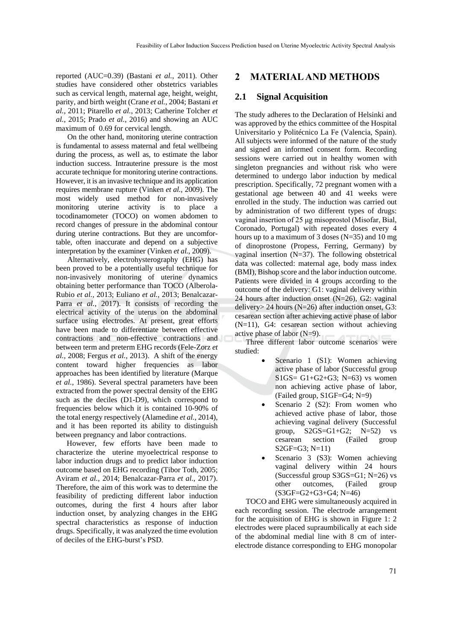reported (AUC=0.39) (Bastani *et al.*, 2011). Other studies have considered other obstetrics variables such as cervical length, maternal age, height, weight, parity, and birth weight (Crane *et al.*, 2004; Bastani *et al.*, 2011; Pitarello *et al.*, 2013; Catherine Tolcher *et al.*, 2015; Prado *et al.*, 2016) and showing an AUC maximum of 0.69 for cervical length.

On the other hand, monitoring uterine contraction is fundamental to assess maternal and fetal wellbeing during the process, as well as, to estimate the labor induction success. Intrauterine pressure is the most accurate technique for monitoring uterine contractions. However, it is an invasive technique and its application requires membrane rupture (Vinken *et al.*, 2009). The most widely used method for non-invasively monitoring uterine activity is to place a tocodinamometer (TOCO) on women abdomen to record changes of pressure in the abdominal contour during uterine contractions. But they are uncomfortable, often inaccurate and depend on a subjective interpretation by the examiner (Vinken *et al.*, 2009).

Alternatively, electrohysterography (EHG) has been proved to be a potentially useful technique for non-invasively monitoring of uterine dynamics obtaining better performance than TOCO (Alberola-Rubio *et al.*, 2013; Euliano *et al.*, 2013; Benalcazar-Parra *et al.*, 2017). It consists of recording the electrical activity of the uterus on the abdominal surface using electrodes. At present, great efforts have been made to differentiate between effective contractions and non-effective contractions and between term and preterm EHG records (Fele-Zorz *et al.*, 2008; Fergus *et al.*, 2013). A shift of the energy content toward higher frequencies as labor approaches has been identified by literature (Marque *et al.*, 1986). Several spectral parameters have been extracted from the power spectral density of the EHG such as the deciles (D1-D9), which correspond to frequencies below which it is contained 10-90% of the total energy respectively (Alamedine *et al.*, 2014), and it has been reported its ability to distinguish between pregnancy and labor contractions.

However, few efforts have been made to characterize the uterine myoelectrical response to labor induction drugs and to predict labor induction outcome based on EHG recording (Tibor Toth, 2005; Aviram *et al.*, 2014; Benalcazar-Parra *et al.*, 2017). Therefore, the aim of this work was to determine the feasibility of predicting different labor induction outcomes, during the first 4 hours after labor induction onset, by analyzing changes in the EHG spectral characteristics as response of induction drugs. Specifically, it was analyzed the time evolution of deciles of the EHG-burst's PSD.

## **2 MATERIAL AND METHODS**

### **2.1 Signal Acquisition**

The study adheres to the Declaration of Helsinki and was approved by the ethics committee of the Hospital Universitario y Politécnico La Fe (Valencia, Spain). All subjects were informed of the nature of the study and signed an informed consent form. Recording sessions were carried out in healthy women with singleton pregnancies and without risk who were determined to undergo labor induction by medical prescription. Specifically, 72 pregnant women with a gestational age between 40 and 41 weeks were enrolled in the study. The induction was carried out by administration of two different types of drugs: vaginal insertion of 25 μg misoprostol (Misofar, Bial, Coronado, Portugal) with repeated doses every 4 hours up to a maximum of 3 doses (N=35) and 10 mg of dinoprostone (Propess, Ferring, Germany) by vaginal insertion  $(N=37)$ . The following obstetrical data was collected: maternal age, body mass index (BMI), Bishop score and the labor induction outcome. Patients were divided in 4 groups according to the outcome of the delivery: G1: vaginal delivery within 24 hours after induction onset (N=26), G2: vaginal delivery> 24 hours (N=26) after induction onset, G3: cesarean section after achieving active phase of labor (N=11), G4: cesarean section without achieving active phase of labor  $(N=9)$ .

Three different labor outcome scenarios were studied:

- Scenario 1 (S1): Women achieving active phase of labor (Successful group S1GS=  $G1+G2+G3$ ; N=63) vs women non achieving active phase of labor, (Failed group, S1GF=G4; N=9)
- Scenario 2 (S2): From women who achieved active phase of labor, those achieving vaginal delivery (Successful group,  $S2GS = G1+G2$ ;  $N=52$ ) vs cesarean section (Failed group S2GF=G3; N=11)
- Scenario 3 (S3): Women achieving vaginal delivery within 24 hours (Successful group S3GS=G1; N=26) vs other outcomes, (Failed group (S3GF=G2+G3+G4; N=46)

TOCO and EHG were simultaneously acquired in each recording session. The electrode arrangement for the acquisition of EHG is shown in Figure 1: 2 electrodes were placed supraumbilically at each side of the abdominal medial line with 8 cm of interelectrode distance corresponding to EHG monopolar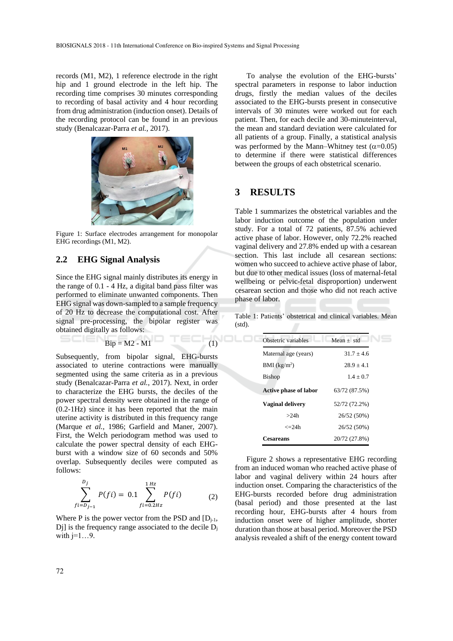records (M1, M2), 1 reference electrode in the right hip and 1 ground electrode in the left hip. The recording time comprises 30 minutes corresponding to recording of basal activity and 4 hour recording from drug administration (induction onset). Details of the recording protocol can be found in an previous study (Benalcazar-Parra *et al.*, 2017).



Figure 1: Surface electrodes arrangement for monopolar EHG recordings (M1, M2).

#### **2.2 EHG Signal Analysis**

Since the EHG signal mainly distributes its energy in the range of 0.1 - 4 Hz, a digital band pass filter was performed to eliminate unwanted components. Then EHG signal was down-sampled to a sample frequency of 20 Hz to decrease the computational cost. After signal pre-processing, the bipolar register was obtained digitally as follows:

 $\text{Bip} = \text{M2} - \text{M1}$  (1)

Subsequently, from bipolar signal, EHG-bursts associated to uterine contractions were manually segmented using the same criteria as in a previous study (Benalcazar-Parra *et al.*, 2017). Next, in order to characterize the EHG bursts, the deciles of the power spectral density were obtained in the range of (0.2-1Hz) since it has been reported that the main uterine activity is distributed in this frequency range (Marque *et al.*, 1986; Garfield and Maner, 2007). First, the Welch periodogram method was used to calculate the power spectral density of each EHGburst with a window size of 60 seconds and 50% overlap. Subsequently deciles were computed as follows:

$$
\sum_{f=i-D_{j-1}}^{D_j} P(fi) = 0.1 \sum_{f=i-0.2Hz}^{1 Hz} P(fi)
$$
 (2)

Where P is the power vector from the PSD and  $[D_{i-1},]$ Dj] is the frequency range associated to the decile  $D_i$ with  $j=1...9$ .

To analyse the evolution of the EHG-bursts' spectral parameters in response to labor induction drugs, firstly the median values of the deciles associated to the EHG-bursts present in consecutive intervals of 30 minutes were worked out for each patient. Then, for each decile and 30-minuteinterval, the mean and standard deviation were calculated for all patients of a group. Finally, a statistical analysis was performed by the Mann–Whitney test  $(\alpha=0.05)$ to determine if there were statistical differences between the groups of each obstetrical scenario.

## **3 RESULTS**

ם∟נ

Table 1 summarizes the obstetrical variables and the labor induction outcome of the population under study. For a total of 72 patients, 87.5% achieved active phase of labor. However, only 72.2% reached vaginal delivery and 27.8% ended up with a cesarean section. This last include all cesarean sections: women who succeed to achieve active phase of labor, but due to other medical issues (loss of maternal-fetal wellbeing or pelvic-fetal disproportion) underwent cesarean section and those who did not reach active phase of labor.

Table 1: Patients' obstetrical and clinical variables. Mean (std).

| Obstetric variables      | Mean $\pm$ std |
|--------------------------|----------------|
| Maternal age (years)     | $31.7 \pm 4.6$ |
| BMI (kg/m <sup>2</sup> ) | $28.9 + 4.1$   |
| Bishop                   | $1.4 + 0.7$    |
| Active phase of labor    | 63/72 (87.5%)  |
| Vaginal delivery         | 52/72 (72.2%)  |
| >24h                     | 26/52 (50%)    |
| $\epsilon = 24h$         | 26/52 (50%)    |
| Cesareans                | 20/72 (27.8%)  |

Figure 2 shows a representative EHG recording from an induced woman who reached active phase of labor and vaginal delivery within 24 hours after induction onset. Comparing the characteristics of the EHG-bursts recorded before drug administration (basal period) and those presented at the last recording hour, EHG-bursts after 4 hours from induction onset were of higher amplitude, shorter duration than those at basal period. Moreover the PSD analysis revealed a shift of the energy content toward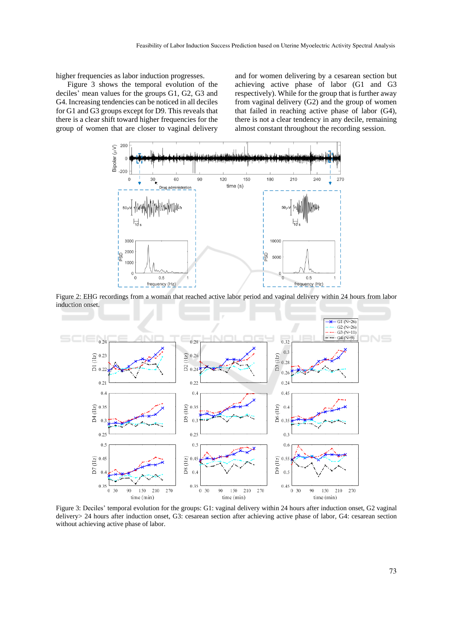higher frequencies as labor induction progresses.

Figure 3 shows the temporal evolution of the deciles' mean values for the groups G1, G2, G3 and G4. Increasing tendencies can be noticed in all deciles for G1 and G3 groups except for D9. This reveals that there is a clear shift toward higher frequencies for the group of women that are closer to vaginal delivery

and for women delivering by a cesarean section but achieving active phase of labor (G1 and G3 respectively). While for the group that is further away from vaginal delivery (G2) and the group of women that failed in reaching active phase of labor (G4), there is not a clear tendency in any decile, remaining almost constant throughout the recording session.



Figure 2: EHG recordings from a woman that reached active labor period and vaginal delivery within 24 hours from labor induction onset.



Figure 3: Deciles' temporal evolution for the groups: G1: vaginal delivery within 24 hours after induction onset, G2 vaginal delivery> 24 hours after induction onset, G3: cesarean section after achieving active phase of labor, G4: cesarean section without achieving active phase of labor.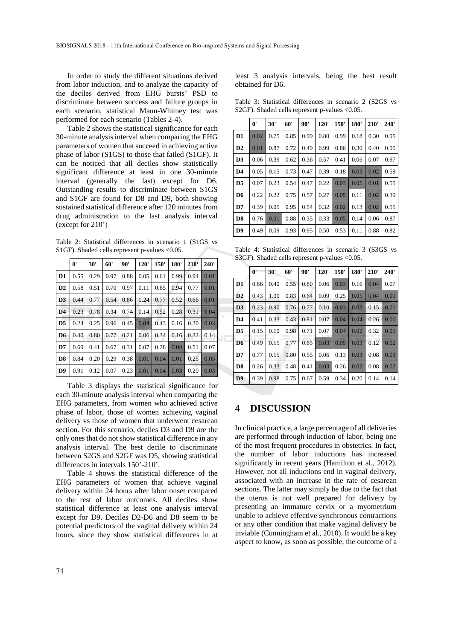In order to study the different situations derived from labor induction, and to analyze the capacity of the deciles derived from EHG bursts' PSD to discriminate between success and failure groups in each scenario, statistical Mann-Whitney test was performed for each scenario (Tables 2-4).

Table 2 shows the statistical significance for each 30-minute analysis interval when comparing the EHG parameters of women that succeed in achieving active phase of labor (S1GS) to those that failed (S1GF). It can be noticed that all deciles show statistically significant difference at least in one 30-minute interval (generally the last) except for D6. Outstanding results to discriminate between S1GS and S1GF are found for D8 and D9, both showing sustained statistical difference after 120 minutes from drug administration to the last analysis interval (except for 210')

Table 2: Statistical differences in scenario 1 (S1GS vs S1GF). Shaded cells represent p-values <0.05.

|                | 0'   | 30'  | 60'  | 90'  | 120' | 150' | <b>180'</b> | 210' | 240' |
|----------------|------|------|------|------|------|------|-------------|------|------|
| D <sub>1</sub> | 0.55 | 0.29 | 0.97 | 0.88 | 0.05 | 0.61 | 0.99        | 0.94 | 0.01 |
| D2             | 0.58 | 0.51 | 0.70 | 0.97 | 0.11 | 0.65 | 0.94        | 0.77 | 0.01 |
| D <sub>3</sub> | 0.44 | 0.77 | 0.54 | 0.86 | 0.24 | 0.77 | 0.52        | 0.66 | 0.01 |
| D <sub>4</sub> | 0.23 | 0.78 | 0.34 | 0.74 | 0.14 | 0.52 | 0.28        | 0.31 | 0.04 |
| D <sub>5</sub> | 0.24 | 0.25 | 0.96 | 0.45 | 0.04 | 0.43 | 0.16        | 0.30 | 0.03 |
| D <sub>6</sub> | 0.40 | 0.80 | 0.77 | 0.21 | 0.06 | 0.34 | 0.16        | 0.32 | 0.14 |
| D7             | 0.69 | 0.41 | 0.67 | 0.31 | 0.07 | 0.28 | 0.04        | 0.51 | 0.07 |
| D <sub>8</sub> | 0.84 | 0.20 | 0.29 | 0.38 | 0.01 | 0.04 | 0.01        | 0.25 | 0.05 |
| D <sub>9</sub> | 0.91 | 0.12 | 0.07 | 0.23 | 0.01 | 0.04 | 0.03        | 0.20 | 0.03 |

Table 3 displays the statistical significance for each 30-minute analysis interval when comparing the EHG parameters, from women who achieved active phase of labor, those of women achieving vaginal delivery vs those of women that underwent cesarean section. For this scenario, deciles D3 and D9 are the only ones that do not show statistical difference in any analysis interval. The best decile to discriminate between S2GS and S2GF was D5, showing statistical differences in intervals 150'-210'.

Table 4 shows the statistical difference of the EHG parameters of women that achieve vaginal delivery within 24 hours after labor onset compared to the rest of labor outcomes. All deciles show statistical difference at least one analysis interval except for D9. Deciles D2-D6 and D8 seem to be potential predictors of the vaginal delivery within 24 hours, since they show statistical differences in at least 3 analysis intervals, being the best result obtained for D6.

Table 3: Statistical differences in scenario 2 (S2GS vs S2GF). Shaded cells represent p-values <0.05.

|                | $0^{\prime}$ | 30'  | 60'  | 90'  | 120' | 150' | 180' | 210' | 240' |
|----------------|--------------|------|------|------|------|------|------|------|------|
| D <sub>1</sub> | 0.02         | 0.75 | 0.85 | 0.99 | 0.80 | 0.99 | 0.18 | 0.30 | 0.95 |
| D2             | 0.01         | 0.87 | 0.72 | 0.49 | 0.99 | 0.86 | 0.30 | 0.40 | 0.95 |
| D3             | 0.06         | 0.39 | 0.62 | 0.36 | 0.57 | 0.41 | 0.06 | 0.07 | 0.97 |
| D <sub>4</sub> | 0.05         | 0.15 | 0.73 | 0.47 | 0.39 | 0.18 | 0.03 | 0.02 | 0.59 |
| D <sub>5</sub> | 0.07         | 0.23 | 0.54 | 0.47 | 0.22 | 0.03 | 0.05 | 0.01 | 0.55 |
| D <sub>6</sub> | 0.22         | 0.22 | 0.75 | 0.57 | 0.27 | 0.05 | 0.11 | 0.02 | 0.39 |
| D7             | 0.39         | 0.05 | 0.95 | 0.54 | 0.32 | 0.02 | 0.13 | 0.02 | 0.55 |
| D <sub>8</sub> | 0.76         | 0.01 | 0.88 | 0.35 | 0.33 | 0.05 | 0.14 | 0.06 | 0.87 |
| D9             | 0.49         | 0.09 | 0.93 | 0.95 | 0.50 | 0.53 | 0.11 | 0.88 | 0.82 |

Table 4: Statistical differences in scenario 3 (S3GS vs S3GF). Shaded cells represent p-values <0.05.

|                | $\mathbf{0}^{\prime}$ | 30'  | 60'  | 90'  | 120' | 150' | <b>180'</b> | 210' | 240' |
|----------------|-----------------------|------|------|------|------|------|-------------|------|------|
| D1             | 0.86                  | 0.40 | 0.55 | 0.80 | 0.06 | 0.03 | 0.16        | 0.04 | 0.07 |
| D2             | 0.43                  | 1.00 | 0.83 | 0.64 | 0.09 | 0.25 | 0.05        | 0.04 | 0.01 |
| D <sub>3</sub> | 0.23                  | 0.90 | 0.76 | 0.77 | 0.10 | 0.03 | 0.03        | 0.15 | 0.01 |
| D <sub>4</sub> | 0.41                  | 0.33 | 0.43 | 0.81 | 0.07 | 0.04 | 0.04        | 0.26 | 0.00 |
| D <sub>5</sub> | 0.15                  | 0.10 | 0.98 | 0.71 | 0.07 | 0.04 | 0.02        | 0.32 | 0.01 |
| D <sub>6</sub> | 0.49                  | 0.15 | 0.77 | 0.65 | 0.03 | 0.05 | 0.03        | 0.12 | 0.02 |
| D7             | 0.77                  | 0.15 | 0.80 | 0.55 | 0.06 | 0.13 | 0.03        | 0.08 | 0.03 |
| D <sub>8</sub> | 0.26                  | 0.33 | 0.48 | 0.41 | 0.03 | 0.26 | 0.02        | 0.08 | 0.02 |
| D9             | 0.39                  | 0.98 | 0.75 | 0.67 | 0.59 | 0.34 | 0.20        | 0.14 | 0.14 |

### **4 DISCUSSION**

In clinical practice, a large percentage of all deliveries are performed through induction of labor, being one of the most frequent procedures in obstetrics. In fact, the number of labor inductions has increased significantly in recent years (Hamilton et al., 2012). However, not all inductions end in vaginal delivery, associated with an increase in the rate of cesarean sections. The latter may simply be due to the fact that the uterus is not well prepared for delivery by presenting an immature cervix or a myometrium unable to achieve effective synchronous contractions or any other condition that make vaginal delivery be inviable (Cunningham et al., 2010). It would be a key aspect to know, as soon as possible, the outcome of a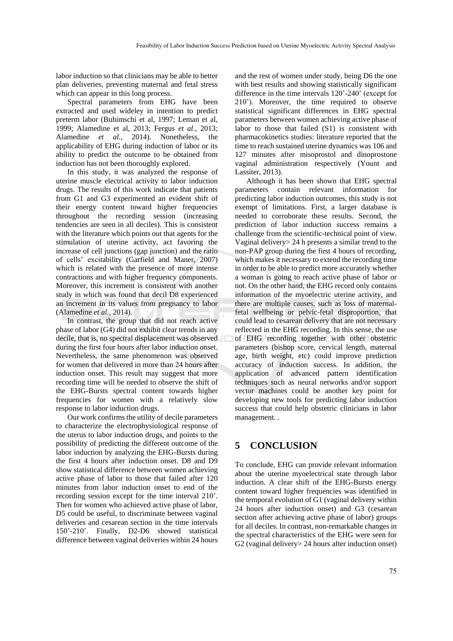labor induction so that clinicians may be able to better plan deliveries, preventing maternal and fetal stress which can appear in this long process.

Spectral parameters from EHG have been extracted and used wideley in intention to predict preterm labor (Buhimschi et al, 1997; Leman et al, 1999; Alamedine et al, 2013; Fergus *et al.*, 2013; Alamedine *et al.*, 2014). Nonetheless, the applicability of EHG during induction of labor or its ability to predict the outcome to be obtained from induction has not been thoroughly explored.

In this study, it was analyzed the response of uterine muscle electrical activity to labor induction drugs. The results of this work indicate that patients from G1 and G3 experimented an evident shift of their energy content toward higher frequencies throughout the recording session (increasing tendencies are seen in all deciles). This is consistent with the literature which points out that agents for the stimulation of uterine activity, act favoring the increase of cell junctions (gap junction) and the ratio of cells' excitability (Garfield and Maner, 2007) which is related with the presence of more intense contractions and with higher frequency components. Moreover, this increment is consistent with another study in which was found that decil D8 experienced an increment in its values from pregnancy to labor (Alamedine *et al.*, 2014).

In contrast, the group that did not reach active phase of labor (G4) did not exhibit clear trends in any decile, that is, no spectral displacement was observed during the first four hours after labor induction onset. Nevertheless, the same phenomenon was observed for women that delivered in more than 24 hours after induction onset. This result may suggest that more recording time will be needed to observe the shift of the EHG-Bursts spectral content towards higher frequencies for women with a relatively slow response to labor induction drugs.

Our work confirms the utility of decile parameters to characterize the electrophysiological response of the uterus to labor induction drugs, and points to the possibility of predicting the different outcome of the labor induction by analyzing the EHG-Bursts during the first 4 hours after induction onset. D8 and D9 show statistical difference between women achieving active phase of labor to those that failed after 120 minutes from labor induction onset to end of the recording session except for the time interval 210'. Then for women who achieved active phase of labor, D5 could be useful, to discriminate between vaginal deliveries and cesarean section in the time intervals 150'-210'. Finally, D2-D6 showed statistical difference between vaginal deliveries within 24 hours

and the rest of women under study, being D6 the one with best results and showing statistically significant difference in the time intervals 120'-240' (except for 210'). Moreover, the time required to observe statistical significant differences in EHG spectral parameters between women achieving active phase of labor to those that failed (S1) is consistent with pharmacokinetics studies: literature reported that the time to reach sustained uterine dynamics was 106 and 127 minutes after misoprostol and dinoprostone vaginal administration respectively (Yount and Lassiter, 2013).

Although it has been shown that EHG spectral parameters contain relevant information for predicting labor induction outcomes, this study is not exempt of limitations. First, a larger database is needed to corroborate these results. Second, the prediction of labor induction success remains a challenge from the scientific-technical point of view. Vaginal delivery> 24 h presents a similar trend to the non-PAP group during the first 4 hours of recording, which makes it necessary to extend the recording time in order to be able to predict more accurately whether a woman is going to reach active phase of labor or not. On the other hand, the EHG record only contains information of the myoelectric uterine activity, and there are multiple causes, such as loss of maternalfetal wellbeing or pelvic-fetal disproportion, that could lead to cesarean delivery that are not necessary reflected in the EHG recording. In this sense, the use of EHG recording together with other obstetric parameters (bishop score, cervical length, maternal age, birth weight, etc) could improve prediction accuracy of induction success. In addition, the application of advanced pattern identification techniques such as neural networks and/or support vector machines could be another key point for developing new tools for predicting labor induction success that could help obstetric clinicians in labor management. .

## **5 CONCLUSION**

To conclude, EHG can provide relevant information about the uterine myoelectrical state through labor induction. A clear shift of the EHG-Bursts energy content toward higher frequencies was identified in the temporal evolution of G1 (vaginal delivery within 24 hours after induction onset) and G3 (cesarean section after achieving active phase of labor) groups for all deciles. In contrast, non-remarkable changes in the spectral characteristics of the EHG were seen for G2 (vaginal delivery> 24 hours after induction onset)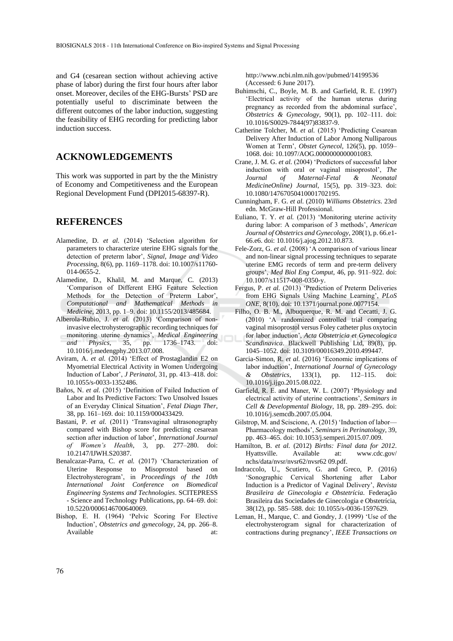and G4 (cesarean section without achieving active phase of labor) during the first four hours after labor onset. Moreover, deciles of the EHG-Bursts' PSD are potentially useful to discriminate between the different outcomes of the labor induction, suggesting the feasibility of EHG recording for predicting labor induction success.

## **ACKNOWLEDGEMENTS**

This work was supported in part by the the Ministry of Economy and Competitiveness and the European Regional Development Fund (DPI2015-68397-R).

### **REFERENCES**

- Alamedine, D. *et al.* (2014) 'Selection algorithm for parameters to characterize uterine EHG signals for the detection of preterm labor', *Signal, Image and Video Processing*, 8(6), pp. 1169–1178. doi: 10.1007/s11760- 014-0655-2.
- Alamedine, D., Khalil, M. and Marque, C. (2013) 'Comparison of Different EHG Feature Selection Methods for the Detection of Preterm Labor', *Computational and Mathematical Methods in Medicine*, 2013, pp. 1–9. doi: 10.1155/2013/485684.
- Alberola-Rubio, J. *et al.* (2013) 'Comparison of noninvasive electrohysterographic recording techniques for monitoring uterine dynamics', *Medical Engineering and Physics*, 35, pp. 1736–1743. doi: 10.1016/j.medengphy.2013.07.008.
- Aviram, A. *et al.* (2014) 'Effect of Prostaglandin E2 on Myometrial Electrical Activity in Women Undergoing Induction of Labor', *J Perinatol*, 31, pp. 413–418. doi: 10.1055/s-0033-1352486.
- Baños, N. *et al.* (2015) 'Definition of Failed Induction of Labor and Its Predictive Factors: Two Unsolved Issues of an Everyday Clinical Situation', *Fetal Diagn Ther*, 38, pp. 161–169. doi: 10.1159/000433429.
- Bastani, P. *et al.* (2011) 'Transvaginal ultrasonography compared with Bishop score for predicting cesarean section after induction of labor', *International Journal of Women's Health*, 3, pp. 277–280. doi: 10.2147/IJWH.S20387.
- Benalcazar-Parra, C. *et al.* (2017) 'Characterization of Uterine Response to Misoprostol based on Electrohysterogram', in *Proceedings of the 10th International Joint Conference on Biomedical Engineering Systems and Technologies*. SCITEPRESS - Science and Technology Publications, pp. 64–69. doi: 10.5220/0006146700640069.
- Bishop, E. H. (1964) 'Pelvic Scoring For Elective Induction', *Obstetrics and gynecology*, 24, pp. 266–8. Available at:

http://www.ncbi.nlm.nih.gov/pubmed/14199536 (Accessed: 6 June 2017).

- Buhimschi, C., Boyle, M. B. and Garfield, R. E. (1997) 'Electrical activity of the human uterus during pregnancy as recorded from the abdominal surface', *Obstetrics & Gynecology*, 90(1), pp. 102–111. doi: 10.1016/S0029-7844(97)83837-9.
- Catherine Tolcher, M. *et al.* (2015) 'Predicting Cesarean Delivery After Induction of Labor Among Nulliparous Women at Term', *Obstet Gynecol*, 126(5), pp. 1059– 1068. doi: 10.1097/AOG.0000000000001083.
- Crane, J. M. G. *et al.* (2004) 'Predictors of successful labor induction with oral or vaginal misoprostol', *The Journal of Maternal-Fetal & Neonatal MedicineOnline) Journal*, 15(5), pp. 319–323. doi: 10.1080/14767050410001702195.
- Cunningham, F. G. *et al.* (2010) *Williams Obstetrics*. 23rd edn. McGraw-Hill Professional.
- Euliano, T. Y. *et al.* (2013) 'Monitoring uterine activity during labor: A comparison of 3 methods', *American Journal of Obstetrics and Gynecology*, 208(1), p. 66.e1- 66.e6. doi: 10.1016/j.ajog.2012.10.873.
- Fele-Zorz, G. *et al.* (2008) 'A comparison of various linear and non-linear signal processing techniques to separate uterine EMG records of term and pre-term delivery groups', *Med Biol Eng Comput*, 46, pp. 911–922. doi: 10.1007/s11517-008-0350-y.
- Fergus, P. *et al.* (2013) 'Prediction of Preterm Deliveries from EHG Signals Using Machine Learning', *PLoS ONE*, 8(10). doi: 10.1371/journal.pone.0077154.
- Filho, O. B. M., Albuquerque, R. M. and Cecatti, J. G. (2010) 'A randomized controlled trial comparing vaginal misoprostol versus Foley catheter plus oxytocin for labor induction', *Acta Obstetricia et Gynecologica Scandinavica*. Blackwell Publishing Ltd, 89(8), pp. 1045–1052. doi: 10.3109/00016349.2010.499447.
- Garcia-Simon, R. *et al.* (2016) 'Economic implications of labor induction', *International Journal of Gynecology & Obstetrics*, 133(1), pp. 112–115. doi: 10.1016/j.ijgo.2015.08.022.
- Garfield, R. E. and Maner, W. L. (2007) 'Physiology and electrical activity of uterine contractions', *Seminars in Cell & Developmental Biology*, 18, pp. 289–295. doi: 10.1016/j.semcdb.2007.05.004.
- Gilstrop, M. and Sciscione, A. (2015) 'Induction of labor— Pharmacology methods', *Seminars in Perinatology*, 39, pp. 463–465. doi: 10.1053/j.semperi.2015.07.009.
- Hamilton, B. *et al.* (2012) *Births: Final data for 2012*. Hyattsville. Available at: www.cdc.gov/ nchs/data/nvsr/nvsr62/nvsr62 09.pdf.
- Indraccolo, U., Scutiero, G. and Greco, P. (2016) 'Sonographic Cervical Shortening after Labor Induction is a Predictor of Vaginal Delivery', *Revista Brasileira de Ginecologia e Obstetrícia*. Federação Brasileira das Sociedades de Ginecologia e Obstetrícia, 38(12), pp. 585–588. doi: 10.1055/s-0036-1597629.
- Leman, H., Marque, C. and Gondry, J. (1999) 'Use of the electrohysterogram signal for characterization of contractions during pregnancy', *IEEE Transactions on*